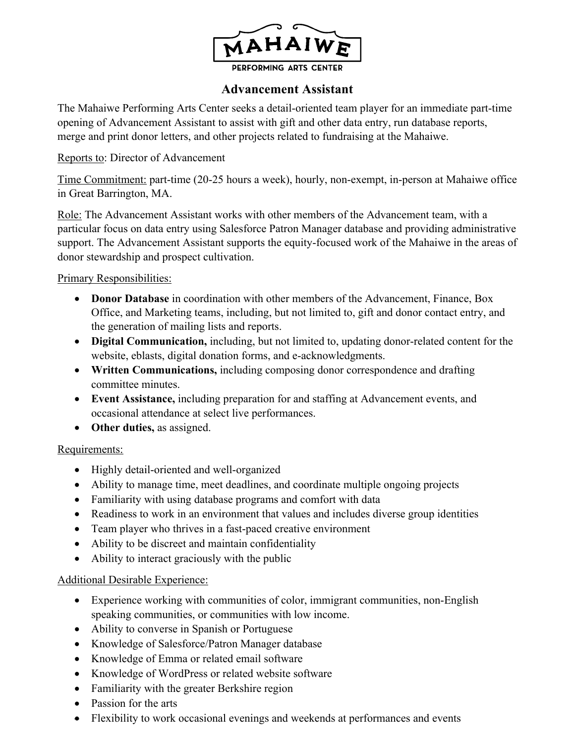

## **Advancement Assistant**

The Mahaiwe Performing Arts Center seeks a detail-oriented team player for an immediate part-time opening of Advancement Assistant to assist with gift and other data entry, run database reports, merge and print donor letters, and other projects related to fundraising at the Mahaiwe.

#### Reports to: Director of Advancement

Time Commitment: part-time (20-25 hours a week), hourly, non-exempt, in-person at Mahaiwe office in Great Barrington, MA.

Role: The Advancement Assistant works with other members of the Advancement team, with a particular focus on data entry using Salesforce Patron Manager database and providing administrative support. The Advancement Assistant supports the equity-focused work of the Mahaiwe in the areas of donor stewardship and prospect cultivation.

## Primary Responsibilities:

- **Donor Database** in coordination with other members of the Advancement, Finance, Box Office, and Marketing teams, including, but not limited to, gift and donor contact entry, and the generation of mailing lists and reports.
- **Digital Communication,** including, but not limited to, updating donor-related content for the website, eblasts, digital donation forms, and e-acknowledgments.
- **Written Communications,** including composing donor correspondence and drafting committee minutes.
- **Event Assistance,** including preparation for and staffing at Advancement events, and occasional attendance at select live performances.
- **Other duties,** as assigned.

#### Requirements:

- Highly detail-oriented and well-organized
- Ability to manage time, meet deadlines, and coordinate multiple ongoing projects
- Familiarity with using database programs and comfort with data
- Readiness to work in an environment that values and includes diverse group identities
- Team player who thrives in a fast-paced creative environment
- Ability to be discreet and maintain confidentiality
- Ability to interact graciously with the public

## Additional Desirable Experience:

- Experience working with communities of color, immigrant communities, non-English speaking communities, or communities with low income.
- Ability to converse in Spanish or Portuguese
- Knowledge of Salesforce/Patron Manager database
- Knowledge of Emma or related email software
- Knowledge of WordPress or related website software
- Familiarity with the greater Berkshire region
- Passion for the arts
- Flexibility to work occasional evenings and weekends at performances and events